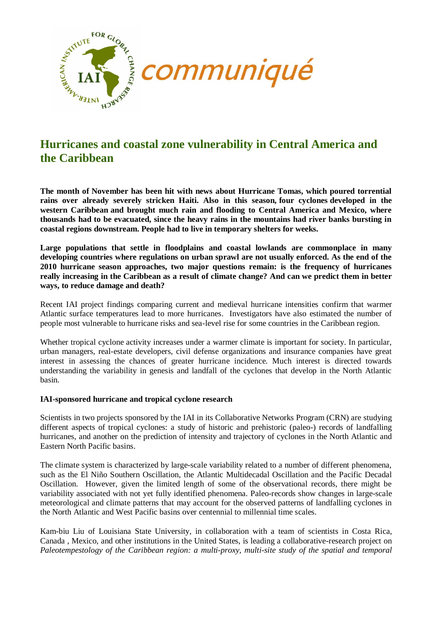

# **Hurricanes and coastal zone vulnerability in Central America and the Caribbean**

**The month of November has been hit with news about Hurricane Tomas, which poured torrential rains over already severely stricken Haiti. Also in this season, four cyclones developed in the western Caribbean and brought much rain and flooding to Central America and Mexico, where thousands had to be evacuated, since the heavy rains in the mountains had river banks bursting in coastal regions downstream. People had to live in temporary shelters for weeks.**

**Large populations that settle in floodplains and coastal lowlands are commonplace in many developing countries where regulations on urban sprawl are not usually enforced. As the end of the 2010 hurricane season approaches, two major questions remain: is the frequency of hurricanes really increasing in the Caribbean as a result of climate change? And can we predict them in better ways, to reduce damage and death?** 

Recent IAI project findings comparing current and medieval hurricane intensities confirm that warmer Atlantic surface temperatures lead to more hurricanes. Investigators have also estimated the number of people most vulnerable to hurricane risks and sea-level rise for some countries in the Caribbean region.

Whether tropical cyclone activity increases under a warmer climate is important for society. In particular, urban managers, real-estate developers, civil defense organizations and insurance companies have great interest in assessing the chances of greater hurricane incidence. Much interest is directed towards understanding the variability in genesis and landfall of the cyclones that develop in the North Atlantic basin.

#### **IAI-sponsored hurricane and tropical cyclone research**

Scientists in two projects sponsored by the IAI in its Collaborative Networks Program (CRN) are studying different aspects of tropical cyclones: a study of historic and prehistoric (paleo-) records of landfalling hurricanes, and another on the prediction of intensity and trajectory of cyclones in the North Atlantic and Eastern North Pacific basins.

The climate system is characterized by large-scale variability related to a number of different phenomena, such as the El Niño Southern Oscillation, the Atlantic Multidecadal Oscillation and the Pacific Decadal Oscillation. However, given the limited length of some of the observational records, there might be variability associated with not yet fully identified phenomena. Paleo-records show changes in large-scale meteorological and climate patterns that may account for the observed patterns of landfalling cyclones in the North Atlantic and West Pacific basins over centennial to millennial time scales.

Kam-biu Liu of Louisiana State University, in collaboration with a team of scientists in Costa Rica, Canada , Mexico, and other institutions in the United States, is leading a collaborative-research project on *Paleotempestology of the Caribbean region: a multi-proxy, multi-site study of the spatial and temporal*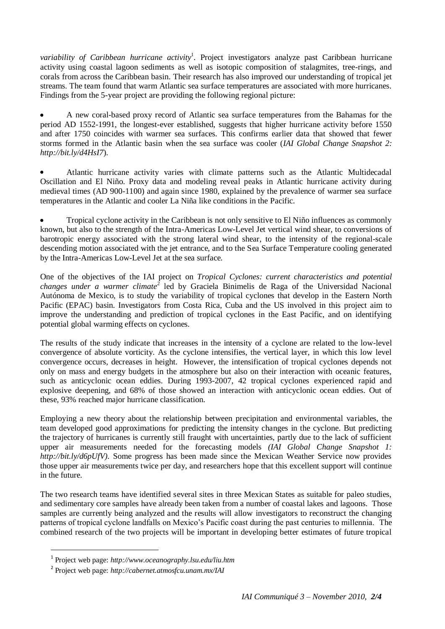*variability of Caribbean hurricane activity*<sup>1</sup> . Project investigators analyze past Caribbean hurricane activity using coastal lagoon sediments as well as isotopic composition of stalagmites, tree-rings, and corals from across the Caribbean basin. Their research has also improved our understanding of tropical jet streams. The team found that warm Atlantic sea surface temperatures are associated with more hurricanes. Findings from the 5-year project are providing the following regional picture:

A new coral-based proxy record of Atlantic sea surface temperatures from the Bahamas for the period AD 1552-1991, the longest-ever established, suggests that higher hurricane activity before 1550 and after 1750 coincides with warmer sea surfaces. This confirms earlier data that showed that fewer storms formed in the Atlantic basin when the sea surface was cooler (*IAI Global Change Snapshot 2: <http://bit.ly/d4HsI7>*).

Atlantic hurricane activity varies with climate patterns such as the Atlantic Multidecadal Oscillation and El Niño. Proxy data and modeling reveal peaks in Atlantic hurricane activity during medieval times (AD 900-1100) and again since 1980, explained by the prevalence of warmer sea surface temperatures in the Atlantic and cooler La Niña like conditions in the Pacific.

Tropical cyclone activity in the Caribbean is not only sensitive to El Niño influences as commonly known, but also to the strength of the Intra-Americas Low-Level Jet vertical wind shear, to conversions of barotropic energy associated with the strong lateral wind shear, to the intensity of the regional-scale descending motion associated with the jet entrance, and to the Sea Surface Temperature cooling generated by the Intra-Americas Low-Level Jet at the sea surface.

One of the objectives of the IAI project on *Tropical Cyclones: current characteristics and potential*  changes under a warmer climate<sup>2</sup> led by Graciela Binimelis de Raga of the Universidad Nacional Autónoma de Mexico, is to study the variability of tropical cyclones that develop in the Eastern North Pacific (EPAC) basin. Investigators from Costa Rica, Cuba and the US involved in this project aim to improve the understanding and prediction of tropical cyclones in the East Pacific, and on identifying potential global warming effects on cyclones.

The results of the study indicate that increases in the intensity of a cyclone are related to the low-level convergence of absolute vorticity. As the cyclone intensifies, the vertical layer, in which this low level convergence occurs, decreases in height. However, the intensification of tropical cyclones depends not only on mass and energy budgets in the atmosphere but also on their interaction with oceanic features, such as anticyclonic ocean eddies. During 1993-2007, 42 tropical cyclones experienced rapid and explosive deepening, and 68% of those showed an interaction with anticyclonic ocean eddies. Out of these, 93% reached major hurricane classification.

Employing a new theory about the relationship between precipitation and environmental variables, the team developed good approximations for predicting the intensity changes in the cyclone. But predicting the trajectory of hurricanes is currently still fraught with uncertainties, partly due to the lack of sufficient upper air measurements needed for the forecasting models *(IAI Global Change Snapshot 1: [http://bit.ly/d6pUfV\)](http://bit.ly/d6pUfV).* Some progress has been made since the Mexican Weather Service now provides those upper air measurements twice per day, and researchers hope that this excellent support will continue in the future.

The two research teams have identified several sites in three Mexican States as suitable for paleo studies, and sedimentary core samples have already been taken from a number of coastal lakes and lagoons. Those samples are currently being analyzed and the results will allow investigators to reconstruct the changing patterns of tropical cyclone landfalls on Mexico's Pacific coast during the past centuries to millennia. The combined research of the two projects will be important in developing better estimates of future tropical

 $\overline{a}$ 

<sup>1</sup> Project web page: *<http://www.oceanography.lsu.edu/liu.htm>*

<sup>2</sup> Project web page: *<http://cabernet.atmosfcu.unam.mx/IAI>*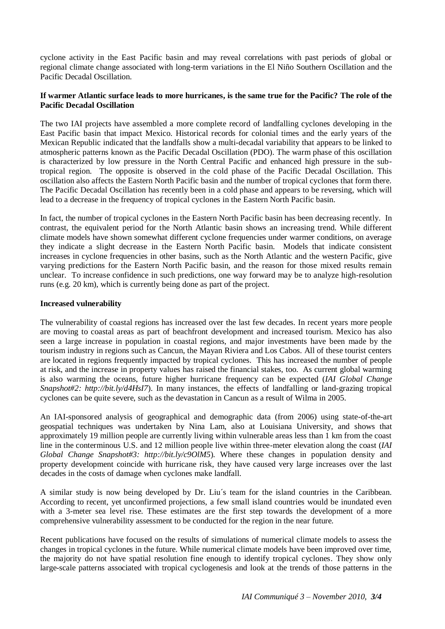cyclone activity in the East Pacific basin and may reveal correlations with past periods of global or regional climate change associated with long-term variations in the El Niño Southern Oscillation and the Pacific Decadal Oscillation.

## **If warmer Atlantic surface leads to more hurricanes, is the same true for the Pacific? The role of the Pacific Decadal Oscillation**

The two IAI projects have assembled a more complete record of landfalling cyclones developing in the East Pacific basin that impact Mexico. Historical records for colonial times and the early years of the Mexican Republic indicated that the landfalls show a multi-decadal variability that appears to be linked to atmospheric patterns known as the Pacific Decadal Oscillation (PDO). The warm phase of this oscillation is characterized by low pressure in the North Central Pacific and enhanced high pressure in the subtropical region. The opposite is observed in the cold phase of the Pacific Decadal Oscillation. This oscillation also affects the Eastern North Pacific basin and the number of tropical cyclones that form there. The Pacific Decadal Oscillation has recently been in a cold phase and appears to be reversing, which will lead to a decrease in the frequency of tropical cyclones in the Eastern North Pacific basin.

In fact, the number of tropical cyclones in the Eastern North Pacific basin has been decreasing recently. In contrast, the equivalent period for the North Atlantic basin shows an increasing trend. While different climate models have shown somewhat different cyclone frequencies under warmer conditions, on average they indicate a slight decrease in the Eastern North Pacific basin. Models that indicate consistent increases in cyclone frequencies in other basins, such as the North Atlantic and the western Pacific, give varying predictions for the Eastern North Pacific basin, and the reason for those mixed results remain unclear. To increase confidence in such predictions, one way forward may be to analyze high-resolution runs (e.g. 20 km), which is currently being done as part of the project.

## **Increased vulnerability**

The vulnerability of coastal regions has increased over the last few decades. In recent years more people are moving to coastal areas as part of beachfront development and increased tourism. Mexico has also seen a large increase in population in coastal regions, and major investments have been made by the tourism industry in regions such as Cancun, the Mayan Riviera and Los Cabos. All of these tourist centers are located in regions frequently impacted by tropical cyclones. This has increased the number of people at risk, and the increase in property values has raised the financial stakes, too. As current global warming is also warming the oceans, future higher hurricane frequency can be expected (*IAI Global Change Snapshot#2: <http://bit.ly/d4HsI7>*). In many instances, the effects of landfalling or land-grazing tropical cyclones can be quite severe, such as the devastation in Cancun as a result of Wilma in 2005.

An IAI-sponsored analysis of geographical and demographic data (from 2006) using state-of-the-art geospatial techniques was undertaken by Nina Lam, also at Louisiana University, and shows that approximately 19 million people are currently living within vulnerable areas less than 1 km from the coast line in the conterminous U.S. and 12 million people live within three-meter elevation along the coast (*IAI Global Change Snapshot#3: <http://bit.ly/c9OlM5>*). Where these changes in population density and property development coincide with hurricane risk, they have caused very large increases over the last decades in the costs of damage when cyclones make landfall.

A similar study is now being developed by Dr. Liu´s team for the island countries in the Caribbean. According to recent, yet unconfirmed projections, a few small island countries would be inundated even with a 3-meter sea level rise. These estimates are the first step towards the development of a more comprehensive vulnerability assessment to be conducted for the region in the near future.

Recent publications have focused on the results of simulations of numerical climate models to assess the changes in tropical cyclones in the future. While numerical climate models have been improved over time, the majority do not have spatial resolution fine enough to identify tropical cyclones. They show only large-scale patterns associated with tropical cyclogenesis and look at the trends of those patterns in the